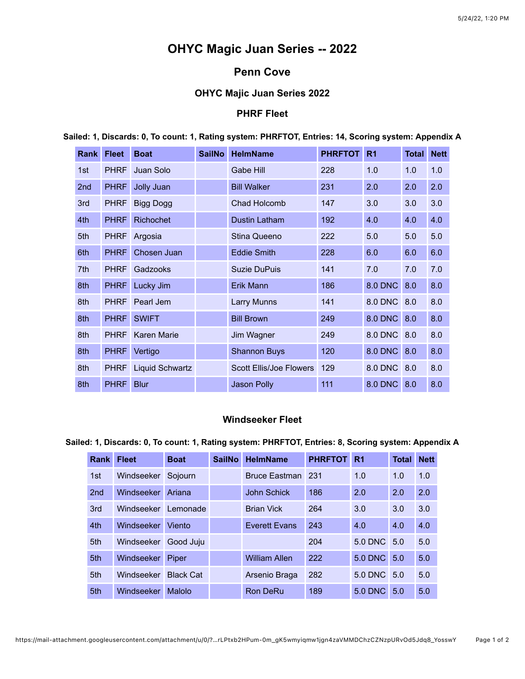# **OHYC Magic Juan Series -- 2022**

## **Penn Cove**

## **OHYC Majic Juan Series 2022**

## **PHRF Fleet**

| <b>Rank</b> | <b>Fleet</b> | <b>Boat</b>          | <b>SailNo</b> | <b>HelmName</b>                | <b>PHRFTOT</b> | R <sub>1</sub> | <b>Total Nett</b> |     |
|-------------|--------------|----------------------|---------------|--------------------------------|----------------|----------------|-------------------|-----|
| 1st         | <b>PHRF</b>  | Juan Solo            |               | Gabe Hill                      | 228            | 1.0            | 1.0               | 1.0 |
| 2nd         | <b>PHRF</b>  | Jolly Juan           |               | <b>Bill Walker</b>             | 231            | 2.0            | 2.0               | 2.0 |
| 3rd         | <b>PHRF</b>  | <b>Bigg Dogg</b>     |               | Chad Holcomb                   | 147            | 3.0            | 3.0               | 3.0 |
| 4th         | <b>PHRF</b>  | <b>Richochet</b>     |               | Dustin Latham                  | 192            | 4.0            | 4.0               | 4.0 |
| 5th         | <b>PHRF</b>  | Argosia              |               | Stina Queeno                   | 222            | 5.0            | 5.0               | 5.0 |
| 6th         | <b>PHRF</b>  | Chosen Juan          |               | <b>Eddie Smith</b>             | 228            | 6.0            | 6.0               | 6.0 |
| 7th         | <b>PHRF</b>  | Gadzooks             |               | <b>Suzie DuPuis</b>            | 141            | 7.0            | 7.0               | 7.0 |
| 8th         |              | PHRF Lucky Jim       |               | Erik Mann                      | 186            | 8.0 DNC 8.0    |                   | 8.0 |
| 8th         |              | PHRF Pearl Jem       |               | Larry Munns                    | 141            | 8.0 DNC 8.0    |                   | 8.0 |
| 8th         |              | PHRF SWIFT           |               | <b>Bill Brown</b>              | 249            | 8.0 DNC 8.0    |                   | 8.0 |
| 8th         | <b>PHRF</b>  | <b>Karen Marie</b>   |               | Jim Wagner                     | 249            | 8.0 DNC 8.0    |                   | 8.0 |
| 8th         |              | PHRF Vertigo         |               | <b>Shannon Buys</b>            | 120            | 8.0 DNC 8.0    |                   | 8.0 |
| 8th         |              | PHRF Liquid Schwartz |               | <b>Scott Ellis/Joe Flowers</b> | 129            | 8.0 DNC 8.0    |                   | 8.0 |
| 8th         | <b>PHRF</b>  | <b>Blur</b>          |               | Jason Polly                    | 111            | 8.0 DNC 8.0    |                   | 8.0 |

**Sailed: 1, Discards: 0, To count: 1, Rating system: PHRFTOT, Entries: 14, Scoring system: Appendix A**

#### **Windseeker Fleet**

**Sailed: 1, Discards: 0, To count: 1, Rating system: PHRFTOT, Entries: 8, Scoring system: Appendix A**

| <b>Rank</b>     | <b>Fleet</b>      | <b>Boat</b>      | <b>SailNo</b> | <b>HelmName</b>      | <b>PHRFTOT</b> | R <sub>1</sub> | <b>Total</b> | <b>Nett</b> |
|-----------------|-------------------|------------------|---------------|----------------------|----------------|----------------|--------------|-------------|
| 1st             | Windseeker        | Sojourn          |               | <b>Bruce Eastman</b> | 231            | 1.0            | 1.0          | 1.0         |
| 2 <sub>nd</sub> | Windseeker        | Ariana           |               | <b>John Schick</b>   | 186            | 2.0            | 2.0          | 2.0         |
| 3rd             | Windseeker        | Lemonade         |               | <b>Brian Vick</b>    | 264            | 3.0            | 3.0          | 3.0         |
| 4th             | Windseeker        | Viento           |               | <b>Everett Evans</b> | 243            | 4.0            | 4.0          | 4.0         |
| 5th             | Windseeker        | Good Juju        |               |                      | 204            | 5.0 DNC 5.0    |              | 5.0         |
| 5th             | Windseeker        | Piper            |               | <b>William Allen</b> | 222            | <b>5.0 DNC</b> | 5.0          | 5.0         |
| 5th             | <b>Windseeker</b> | <b>Black Cat</b> |               | Arsenio Braga        | 282            | $5.0$ DNC      | 5.0          | 5.0         |
| 5th             | Windseeker        | Malolo           |               | Ron DeRu             | 189            | 5.0 DNC        | 5.0          | 5.0         |